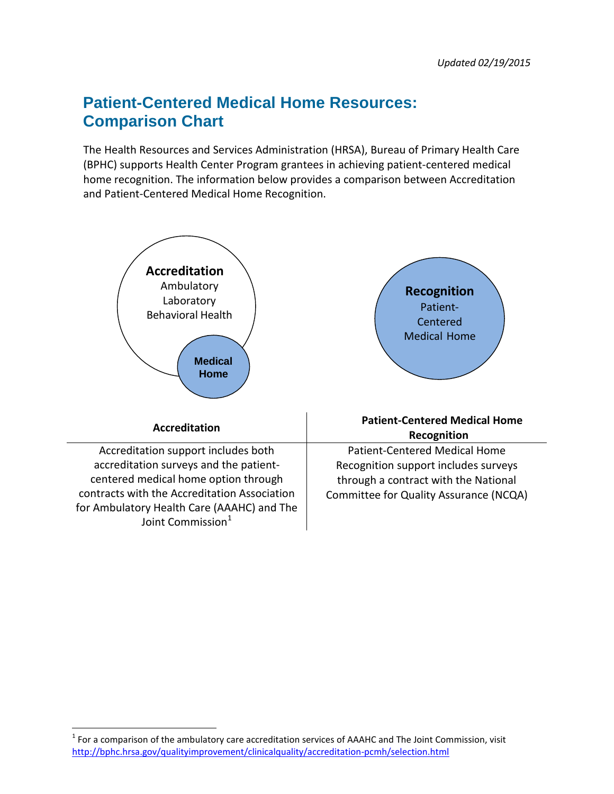# **Patient-Centered Medical Home Resources: Comparison Chart**

The Health Resources and Services Administration (HRSA), Bureau of Primary Health Care (BPHC) supports Health Center Program grantees in achieving patient-centered medical home recognition. The information below provides a comparison between Accreditation and Patient-Centered Medical Home Recognition.



 $\overline{\phantom{a}}$ 

<span id="page-0-0"></span> $<sup>1</sup>$  For a comparison of the ambulatory care accreditation services of AAAHC and The Joint Commission, visit</sup> <http://bphc.hrsa.gov/qualityimprovement/clinicalquality/accreditation-pcmh/selection.html>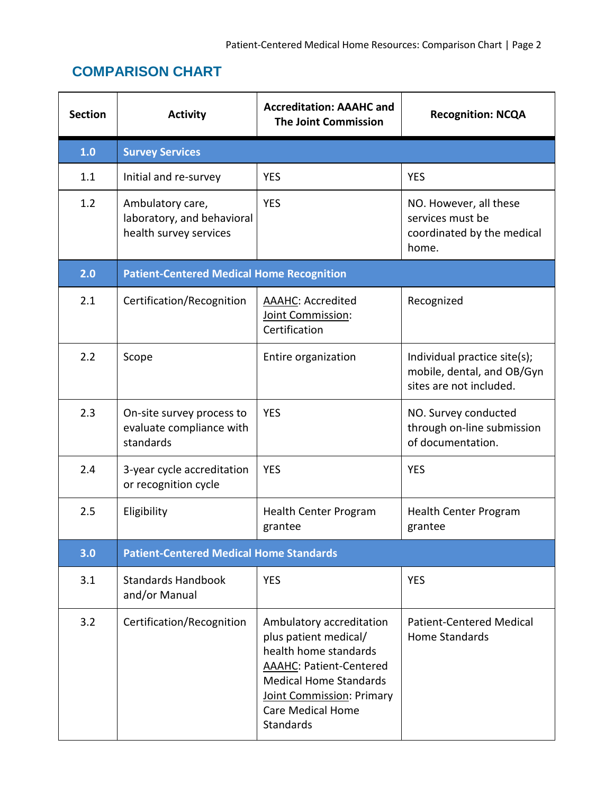## **COMPARISON CHART**

| <b>Section</b> | <b>Activity</b>                                                          | <b>Accreditation: AAAHC and</b><br><b>The Joint Commission</b>                                                                                                                                                      | <b>Recognition: NCQA</b>                                                              |  |  |
|----------------|--------------------------------------------------------------------------|---------------------------------------------------------------------------------------------------------------------------------------------------------------------------------------------------------------------|---------------------------------------------------------------------------------------|--|--|
| 1.0            | <b>Survey Services</b>                                                   |                                                                                                                                                                                                                     |                                                                                       |  |  |
| 1.1            | Initial and re-survey                                                    | <b>YES</b>                                                                                                                                                                                                          | <b>YES</b>                                                                            |  |  |
| 1.2            | Ambulatory care,<br>laboratory, and behavioral<br>health survey services | <b>YES</b>                                                                                                                                                                                                          | NO. However, all these<br>services must be<br>coordinated by the medical<br>home.     |  |  |
| 2.0            | <b>Patient-Centered Medical Home Recognition</b>                         |                                                                                                                                                                                                                     |                                                                                       |  |  |
| 2.1            | Certification/Recognition                                                | <b>AAAHC: Accredited</b><br>Joint Commission:<br>Certification                                                                                                                                                      | Recognized                                                                            |  |  |
| 2.2            | Scope                                                                    | Entire organization                                                                                                                                                                                                 | Individual practice site(s);<br>mobile, dental, and OB/Gyn<br>sites are not included. |  |  |
| 2.3            | On-site survey process to<br>evaluate compliance with<br>standards       | <b>YES</b>                                                                                                                                                                                                          | NO. Survey conducted<br>through on-line submission<br>of documentation.               |  |  |
| 2.4            | 3-year cycle accreditation<br>or recognition cycle                       | <b>YES</b>                                                                                                                                                                                                          | <b>YES</b>                                                                            |  |  |
| 2.5            | Eligibility                                                              | Health Center Program<br>grantee                                                                                                                                                                                    | Health Center Program<br>grantee                                                      |  |  |
| 3.0            | <b>Patient-Centered Medical Home Standards</b>                           |                                                                                                                                                                                                                     |                                                                                       |  |  |
| 3.1            | <b>Standards Handbook</b><br>and/or Manual                               | <b>YES</b>                                                                                                                                                                                                          | <b>YES</b>                                                                            |  |  |
| 3.2            | Certification/Recognition                                                | Ambulatory accreditation<br>plus patient medical/<br>health home standards<br><b>AAAHC: Patient-Centered</b><br><b>Medical Home Standards</b><br>Joint Commission: Primary<br><b>Care Medical Home</b><br>Standards | <b>Patient-Centered Medical</b><br>Home Standards                                     |  |  |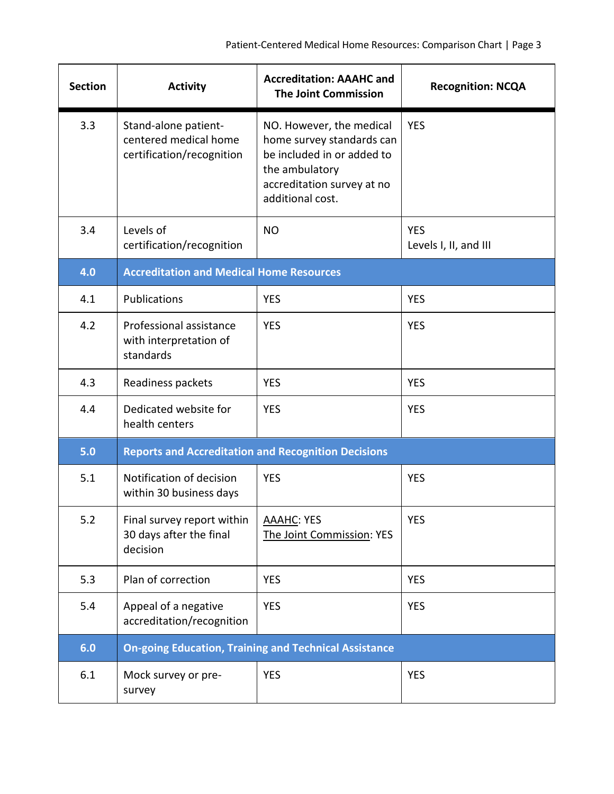| <b>Section</b> | <b>Activity</b>                                                            | <b>Accreditation: AAAHC and</b><br><b>The Joint Commission</b>                                                                                          | <b>Recognition: NCQA</b>            |  |  |
|----------------|----------------------------------------------------------------------------|---------------------------------------------------------------------------------------------------------------------------------------------------------|-------------------------------------|--|--|
| 3.3            | Stand-alone patient-<br>centered medical home<br>certification/recognition | NO. However, the medical<br>home survey standards can<br>be included in or added to<br>the ambulatory<br>accreditation survey at no<br>additional cost. | <b>YES</b>                          |  |  |
| 3.4            | Levels of<br>certification/recognition                                     | <b>NO</b>                                                                                                                                               | <b>YES</b><br>Levels I, II, and III |  |  |
| 4.0            | <b>Accreditation and Medical Home Resources</b>                            |                                                                                                                                                         |                                     |  |  |
| 4.1            | <b>Publications</b>                                                        | <b>YES</b>                                                                                                                                              | <b>YES</b>                          |  |  |
| 4.2            | Professional assistance<br>with interpretation of<br>standards             | <b>YES</b>                                                                                                                                              | <b>YES</b>                          |  |  |
| 4.3            | Readiness packets                                                          | <b>YES</b>                                                                                                                                              | <b>YES</b>                          |  |  |
| 4.4            | Dedicated website for<br>health centers                                    | <b>YES</b>                                                                                                                                              | <b>YES</b>                          |  |  |
| 5.0            | <b>Reports and Accreditation and Recognition Decisions</b>                 |                                                                                                                                                         |                                     |  |  |
| 5.1            | Notification of decision<br>within 30 business days                        | <b>YES</b>                                                                                                                                              | <b>YES</b>                          |  |  |
| 5.2            | Final survey report within<br>30 days after the final<br>decision          | <b>AAAHC: YES</b><br>The Joint Commission: YES                                                                                                          | <b>YES</b>                          |  |  |
| 5.3            | Plan of correction                                                         | <b>YES</b>                                                                                                                                              | <b>YES</b>                          |  |  |
| 5.4            | Appeal of a negative<br>accreditation/recognition                          | <b>YES</b>                                                                                                                                              | <b>YES</b>                          |  |  |
| 6.0            | <b>On-going Education, Training and Technical Assistance</b>               |                                                                                                                                                         |                                     |  |  |
| 6.1            | Mock survey or pre-<br>survey                                              | <b>YES</b>                                                                                                                                              | <b>YES</b>                          |  |  |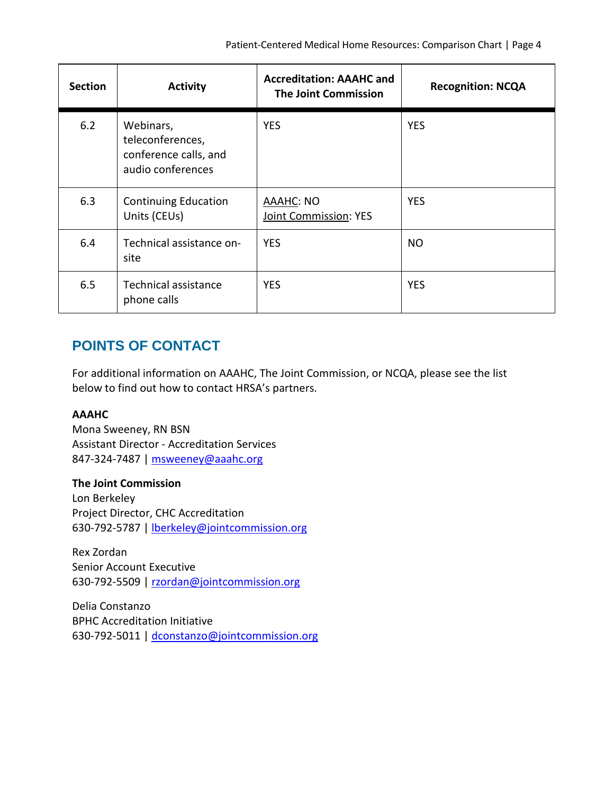| <b>Section</b> | <b>Activity</b>                                                             | <b>Accreditation: AAAHC and</b><br><b>The Joint Commission</b> | <b>Recognition: NCQA</b> |
|----------------|-----------------------------------------------------------------------------|----------------------------------------------------------------|--------------------------|
| 6.2            | Webinars,<br>teleconferences,<br>conference calls, and<br>audio conferences | <b>YES</b>                                                     | <b>YES</b>               |
| 6.3            | <b>Continuing Education</b><br>Units (CEUs)                                 | <b>AAAHC: NO</b><br>Joint Commission: YES                      | <b>YES</b>               |
| 6.4            | Technical assistance on-<br>site                                            | <b>YES</b>                                                     | NO.                      |
| 6.5            | Technical assistance<br>phone calls                                         | <b>YES</b>                                                     | <b>YES</b>               |

### **POINTS OF CONTACT**

For additional information on AAAHC, The Joint Commission, or NCQA, please see the list below to find out how to contact HRSA's partners.

#### **AAAHC**

Mona Sweeney, RN BSN Assistant Director - Accreditation Services 847-324-7487 | [msweeney@aaahc.org](mailto:msweeney@aaahc.org)

#### **The Joint Commission**

Lon Berkeley Project Director, CHC Accreditation 630-792-5787 | [lberkeley@jointcommission.org](mailto:lberkeley@jointcommission.org)

Rex Zordan Senior Account Executive 630-792-5509 | [rzordan@jointcommission.org](mailto:rzordan@jointcommission.org)

Delia Constanzo BPHC Accreditation Initiative 630-792-5011 | [dconstanzo@jointcommission.org](mailto:dconstanzo@jointcommission.org)